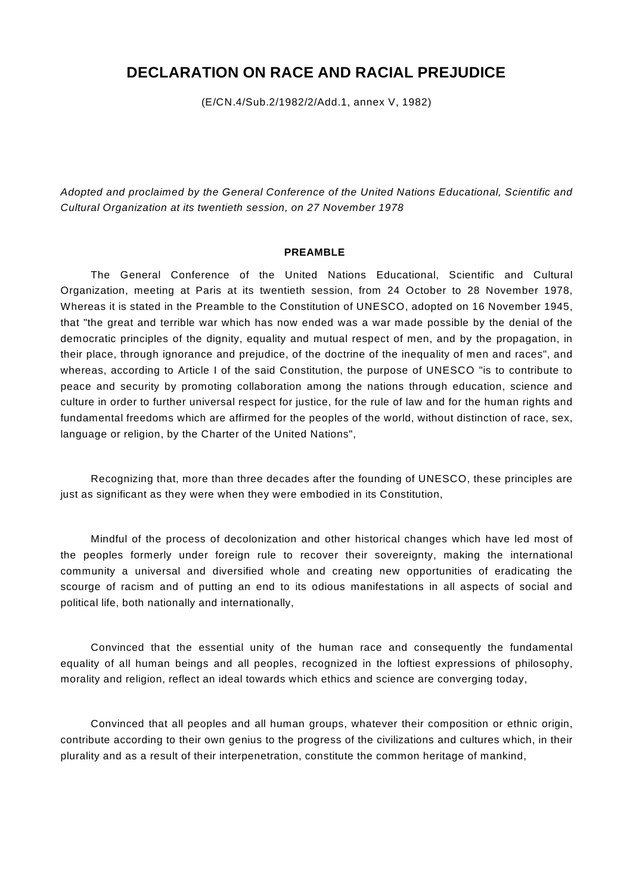# **DECLARATION ON RACE AND RACIAL PREJUDICE**

(E/CN.4/Sub.2/1982/2/Add.1, annex V, 1982)

*Adopted and proclaimed by the General Conference of the United Nations Educational, Scientific and Cultural Organization at its twentieth session, on 27 November 1978*

# **PREAMBLE**

The General Conference of the United Nations Educational, Scientific and Cultural Organization, meeting at Paris at its twentieth session, from 24 October to 28 November 1978, Whereas it is stated in the Preamble to the Constitution of UNESCO, adopted on 16 November 1945, that "the great and terrible war which has now ended was a war made possible by the denial of the democratic principles of the dignity, equality and mutual respect of men, and by the propagation, in their place, through ignorance and prejudice, of the doctrine of the inequality of men and races", and whereas, according to Article I of the said Constitution, the purpose of UNESCO "is to contribute to peace and security by promoting collaboration among the nations through education, science and culture in order to further universal respect for justice, for the rule of law and for the human rights and fundamental freedoms which are affirmed for the peoples of the world, without distinction of race, sex, language or religion, by the Charter of the United Nations",

Recognizing that, more than three decades after the founding of UNESCO, these principles are just as significant as they were when they were embodied in its Constitution,

Mindful of the process of decolonization and other historical changes which have led most of the peoples formerly under foreign rule to recover their sovereignty, making the international community a universal and diversified whole and creating new opportunities of eradicating the scourge of racism and of putting an end to its odious manifestations in all aspects of social and political life, both nationally and internationally,

Convinced that the essential unity of the human race and consequently the fundamental equality of all human beings and all peoples, recognized in the loftiest expressions of philosophy, morality and religion, reflect an ideal towards which ethics and science are converging today,

Convinced that all peoples and all human groups, whatever their composition or ethnic origin, contribute according to their own genius to the progress of the civilizations and cultures which, in their plurality and as a result of their interpenetration, constitute the common heritage of mankind,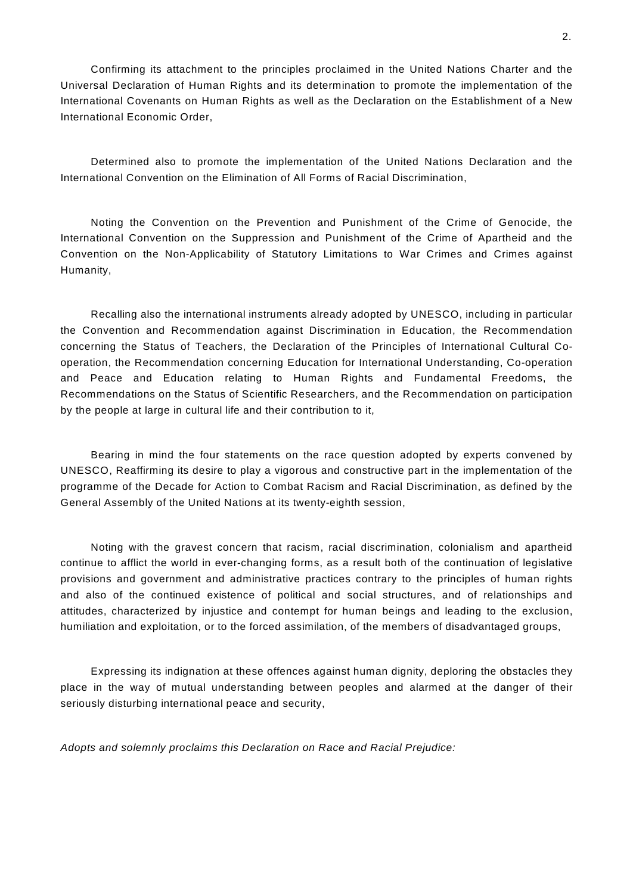Confirming its attachment to the principles proclaimed in the United Nations Charter and the Universal Declaration of Human Rights and its determination to promote the implementation of the International Covenants on Human Rights as well as the Declaration on the Establishment of a New International Economic Order,

Determined also to promote the implementation of the United Nations Declaration and the International Convention on the Elimination of All Forms of Racial Discrimination,

Noting the Convention on the Prevention and Punishment of the Crime of Genocide, the International Convention on the Suppression and Punishment of the Crime of Apartheid and the Convention on the Non-Applicability of Statutory Limitations to War Crimes and Crimes against Humanity,

Recalling also the international instruments already adopted by UNESCO, including in particular the Convention and Recommendation against Discrimination in Education, the Recommendation concerning the Status of Teachers, the Declaration of the Principles of International Cultural Cooperation, the Recommendation concerning Education for International Understanding, Co-operation and Peace and Education relating to Human Rights and Fundamental Freedoms, the Recommendations on the Status of Scientific Researchers, and the Recommendation on participation by the people at large in cultural life and their contribution to it,

Bearing in mind the four statements on the race question adopted by experts convened by UNESCO, Reaffirming its desire to play a vigorous and constructive part in the implementation of the programme of the Decade for Action to Combat Racism and Racial Discrimination, as defined by the General Assembly of the United Nations at its twenty-eighth session,

Noting with the gravest concern that racism, racial discrimination, colonialism and apartheid continue to afflict the world in ever-changing forms, as a result both of the continuation of legislative provisions and government and administrative practices contrary to the principles of human rights and also of the continued existence of political and social structures, and of relationships and attitudes, characterized by injustice and contempt for human beings and leading to the exclusion, humiliation and exploitation, or to the forced assimilation, of the members of disadvantaged groups,

Expressing its indignation at these offences against human dignity, deploring the obstacles they place in the way of mutual understanding between peoples and alarmed at the danger of their seriously disturbing international peace and security,

*Adopts and solemnly proclaims this Declaration on Race and Racial Prejudice:*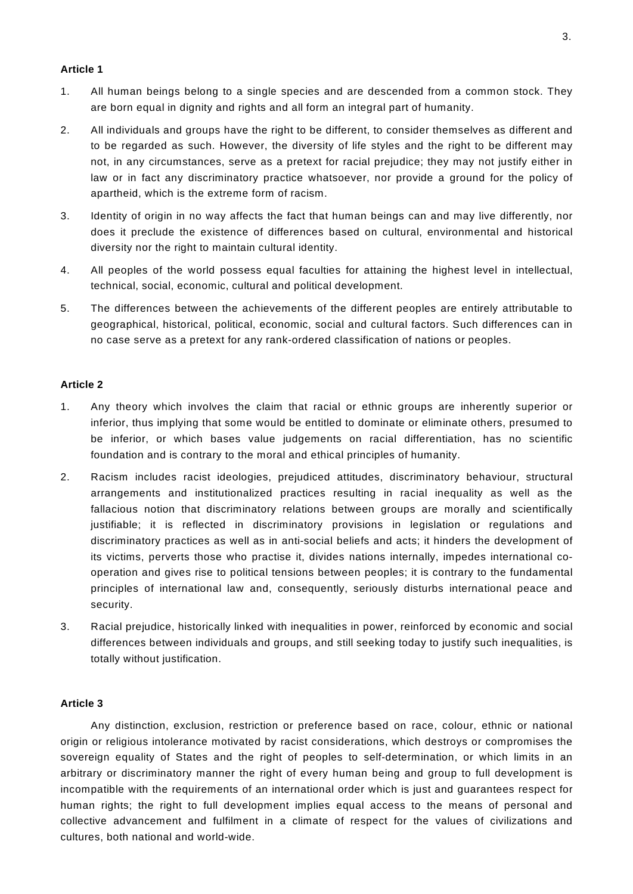#### **Article 1**

- 1. All human beings belong to a single species and are descended from a common stock. They are born equal in dignity and rights and all form an integral part of humanity.
- 2. All individuals and groups have the right to be different, to consider themselves as different and to be regarded as such. However, the diversity of life styles and the right to be different may not, in any circumstances, serve as a pretext for racial prejudice; they may not justify either in law or in fact any discriminatory practice whatsoever, nor provide a ground for the policy of apartheid, which is the extreme form of racism.
- 3. Identity of origin in no way affects the fact that human beings can and may live differently, nor does it preclude the existence of differences based on cultural, environmental and historical diversity nor the right to maintain cultural identity.
- 4. All peoples of the world possess equal faculties for attaining the highest level in intellectual, technical, social, economic, cultural and political development.
- 5. The differences between the achievements of the different peoples are entirely attributable to geographical, historical, political, economic, social and cultural factors. Such differences can in no case serve as a pretext for any rank-ordered classification of nations or peoples.

## **Article 2**

- 1. Any theory which involves the claim that racial or ethnic groups are inherently superior or inferior, thus implying that some would be entitled to dominate or eliminate others, presumed to be inferior, or which bases value judgements on racial differentiation, has no scientific foundation and is contrary to the moral and ethical principles of humanity.
- 2. Racism includes racist ideologies, prejudiced attitudes, discriminatory behaviour, structural arrangements and institutionalized practices resulting in racial inequality as well as the fallacious notion that discriminatory relations between groups are morally and scientifically justifiable; it is reflected in discriminatory provisions in legislation or regulations and discriminatory practices as well as in anti-social beliefs and acts; it hinders the development of its victims, perverts those who practise it, divides nations internally, impedes international cooperation and gives rise to political tensions between peoples; it is contrary to the fundamental principles of international law and, consequently, seriously disturbs international peace and security.
- 3. Racial prejudice, historically linked with inequalities in power, reinforced by economic and social differences between individuals and groups, and still seeking today to justify such inequalities, is totally without justification.

## **Article 3**

Any distinction, exclusion, restriction or preference based on race, colour, ethnic or national origin or religious intolerance motivated by racist considerations, which destroys or compromises the sovereign equality of States and the right of peoples to self-determination, or which limits in an arbitrary or discriminatory manner the right of every human being and group to full development is incompatible with the requirements of an international order which is just and guarantees respect for human rights; the right to full development implies equal access to the means of personal and collective advancement and fulfilment in a climate of respect for the values of civilizations and cultures, both national and world-wide.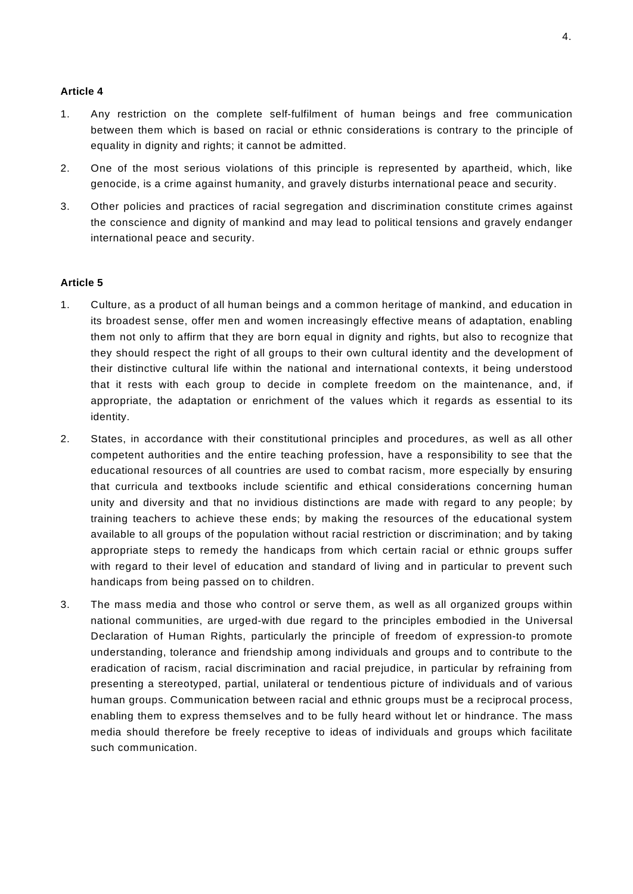#### **Article 4**

- 1. Any restriction on the complete self-fulfilment of human beings and free communication between them which is based on racial or ethnic considerations is contrary to the principle of equality in dignity and rights; it cannot be admitted.
- 2. One of the most serious violations of this principle is represented by apartheid, which, like genocide, is a crime against humanity, and gravely disturbs international peace and security.
- 3. Other policies and practices of racial segregation and discrimination constitute crimes against the conscience and dignity of mankind and may lead to political tensions and gravely endanger international peace and security.

#### **Article 5**

- 1. Culture, as a product of all human beings and a common heritage of mankind, and education in its broadest sense, offer men and women increasingly effective means of adaptation, enabling them not only to affirm that they are born equal in dignity and rights, but also to recognize that they should respect the right of all groups to their own cultural identity and the development of their distinctive cultural life within the national and international contexts, it being understood that it rests with each group to decide in complete freedom on the maintenance, and, if appropriate, the adaptation or enrichment of the values which it regards as essential to its identity.
- 2. States, in accordance with their constitutional principles and procedures, as well as all other competent authorities and the entire teaching profession, have a responsibility to see that the educational resources of all countries are used to combat racism, more especially by ensuring that curricula and textbooks include scientific and ethical considerations concerning human unity and diversity and that no invidious distinctions are made with regard to any people; by training teachers to achieve these ends; by making the resources of the educational system available to all groups of the population without racial restriction or discrimination; and by taking appropriate steps to remedy the handicaps from which certain racial or ethnic groups suffer with regard to their level of education and standard of living and in particular to prevent such handicaps from being passed on to children.
- 3. The mass media and those who control or serve them, as well as all organized groups within national communities, are urged-with due regard to the principles embodied in the Universal Declaration of Human Rights, particularly the principle of freedom of expression-to promote understanding, tolerance and friendship among individuals and groups and to contribute to the eradication of racism, racial discrimination and racial prejudice, in particular by refraining from presenting a stereotyped, partial, unilateral or tendentious picture of individuals and of various human groups. Communication between racial and ethnic groups must be a reciprocal process, enabling them to express themselves and to be fully heard without let or hindrance. The mass media should therefore be freely receptive to ideas of individuals and groups which facilitate such communication.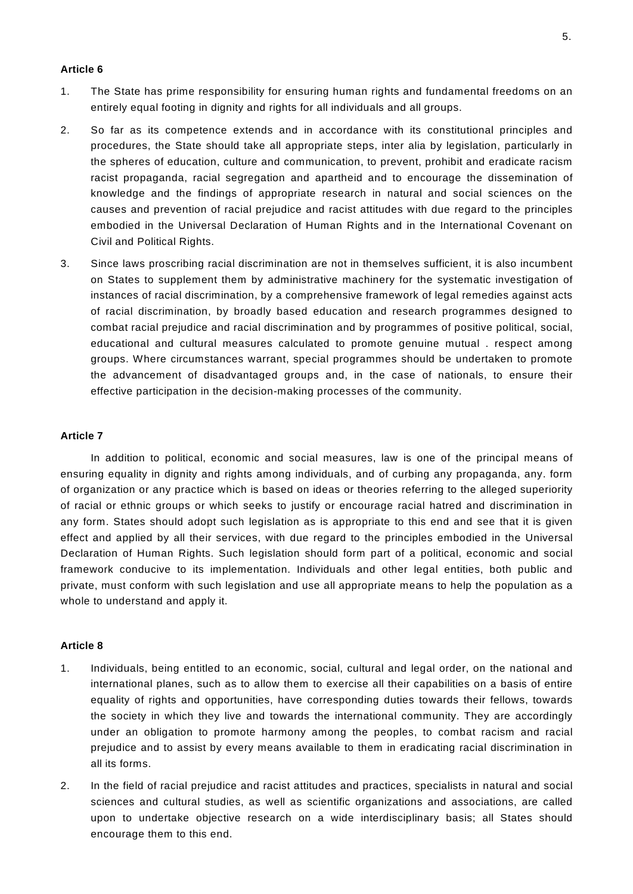#### **Article 6**

- 1. The State has prime responsibility for ensuring human rights and fundamental freedoms on an entirely equal footing in dignity and rights for all individuals and all groups.
- 2. So far as its competence extends and in accordance with its constitutional principles and procedures, the State should take all appropriate steps, inter alia by legislation, particularly in the spheres of education, culture and communication, to prevent, prohibit and eradicate racism racist propaganda, racial segregation and apartheid and to encourage the dissemination of knowledge and the findings of appropriate research in natural and social sciences on the causes and prevention of racial prejudice and racist attitudes with due regard to the principles embodied in the Universal Declaration of Human Rights and in the International Covenant on Civil and Political Rights.
- 3. Since laws proscribing racial discrimination are not in themselves sufficient, it is also incumbent on States to supplement them by administrative machinery for the systematic investigation of instances of racial discrimination, by a comprehensive framework of legal remedies against acts of racial discrimination, by broadly based education and research programmes designed to combat racial prejudice and racial discrimination and by programmes of positive political, social, educational and cultural measures calculated to promote genuine mutual . respect among groups. Where circumstances warrant, special programmes should be undertaken to promote the advancement of disadvantaged groups and, in the case of nationals, to ensure their effective participation in the decision-making processes of the community.

## **Article 7**

In addition to political, economic and social measures, law is one of the principal means of ensuring equality in dignity and rights among individuals, and of curbing any propaganda, any. form of organization or any practice which is based on ideas or theories referring to the alleged superiority of racial or ethnic groups or which seeks to justify or encourage racial hatred and discrimination in any form. States should adopt such legislation as is appropriate to this end and see that it is given effect and applied by all their services, with due regard to the principles embodied in the Universal Declaration of Human Rights. Such legislation should form part of a political, economic and social framework conducive to its implementation. Individuals and other legal entities, both public and private, must conform with such legislation and use all appropriate means to help the population as a whole to understand and apply it.

#### **Article 8**

- 1. Individuals, being entitled to an economic, social, cultural and legal order, on the national and international planes, such as to allow them to exercise all their capabilities on a basis of entire equality of rights and opportunities, have corresponding duties towards their fellows, towards the society in which they live and towards the international community. They are accordingly under an obligation to promote harmony among the peoples, to combat racism and racial prejudice and to assist by every means available to them in eradicating racial discrimination in all its forms.
- 2. In the field of racial prejudice and racist attitudes and practices, specialists in natural and social sciences and cultural studies, as well as scientific organizations and associations, are called upon to undertake objective research on a wide interdisciplinary basis; all States should encourage them to this end.